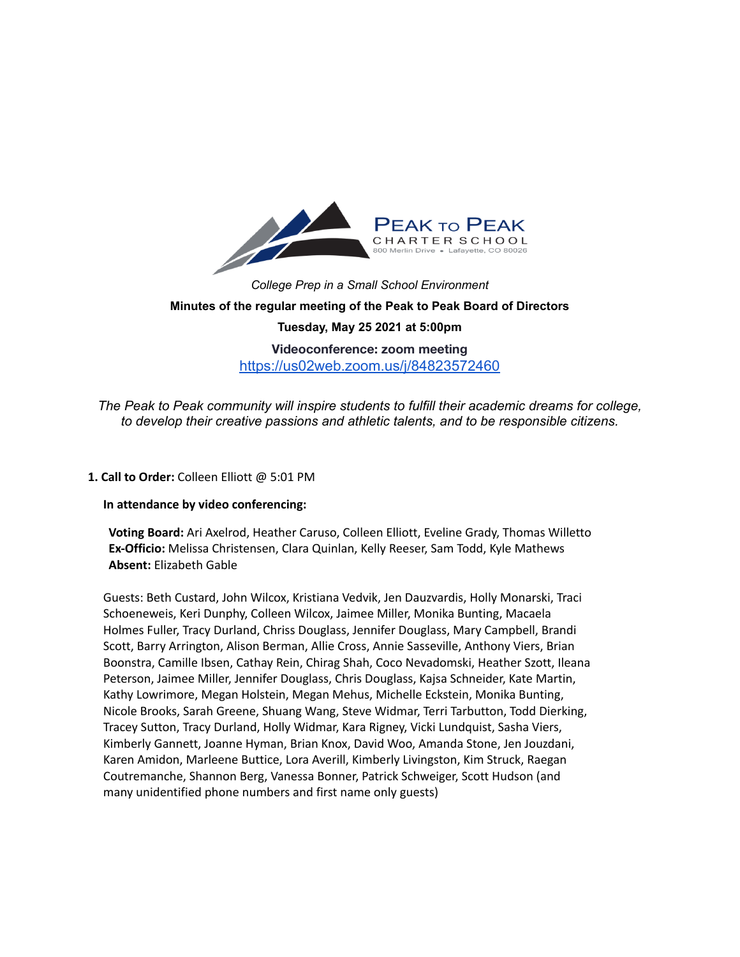

*College Prep in a Small School Environment* **Minutes of the regular meeting of the Peak to Peak Board of Directors Tuesday, May 25 2021 at 5:00pm Videoconference: zoom meeting** <https://us02web.zoom.us/j/84823572460>

*The Peak to Peak community will inspire students to fulfill their academic dreams for college, to develop their creative passions and athletic talents, and to be responsible citizens.*

#### **1. Call to Order:** Colleen Elliott @ 5:01 PM

#### **In attendance by video conferencing:**

**Voting Board:** Ari Axelrod, Heather Caruso, Colleen Elliott, Eveline Grady, Thomas Willetto **Ex-Officio:** Melissa Christensen, Clara Quinlan, Kelly Reeser, Sam Todd, Kyle Mathews **Absent:** Elizabeth Gable

Guests: Beth Custard, John Wilcox, Kristiana Vedvik, Jen Dauzvardis, Holly Monarski, Traci Schoeneweis, Keri Dunphy, Colleen Wilcox, Jaimee Miller, Monika Bunting, Macaela Holmes Fuller, Tracy Durland, Chriss Douglass, Jennifer Douglass, Mary Campbell, Brandi Scott, Barry Arrington, Alison Berman, Allie Cross, Annie Sasseville, Anthony Viers, Brian Boonstra, Camille Ibsen, Cathay Rein, Chirag Shah, Coco Nevadomski, Heather Szott, Ileana Peterson, Jaimee Miller, Jennifer Douglass, Chris Douglass, Kajsa Schneider, Kate Martin, Kathy Lowrimore, Megan Holstein, Megan Mehus, Michelle Eckstein, Monika Bunting, Nicole Brooks, Sarah Greene, Shuang Wang, Steve Widmar, Terri Tarbutton, Todd Dierking, Tracey Sutton, Tracy Durland, Holly Widmar, Kara Rigney, Vicki Lundquist, Sasha Viers, Kimberly Gannett, Joanne Hyman, Brian Knox, David Woo, Amanda Stone, Jen Jouzdani, Karen Amidon, Marleene Buttice, Lora Averill, Kimberly Livingston, Kim Struck, Raegan Coutremanche, Shannon Berg, Vanessa Bonner, Patrick Schweiger, Scott Hudson (and many unidentified phone numbers and first name only guests)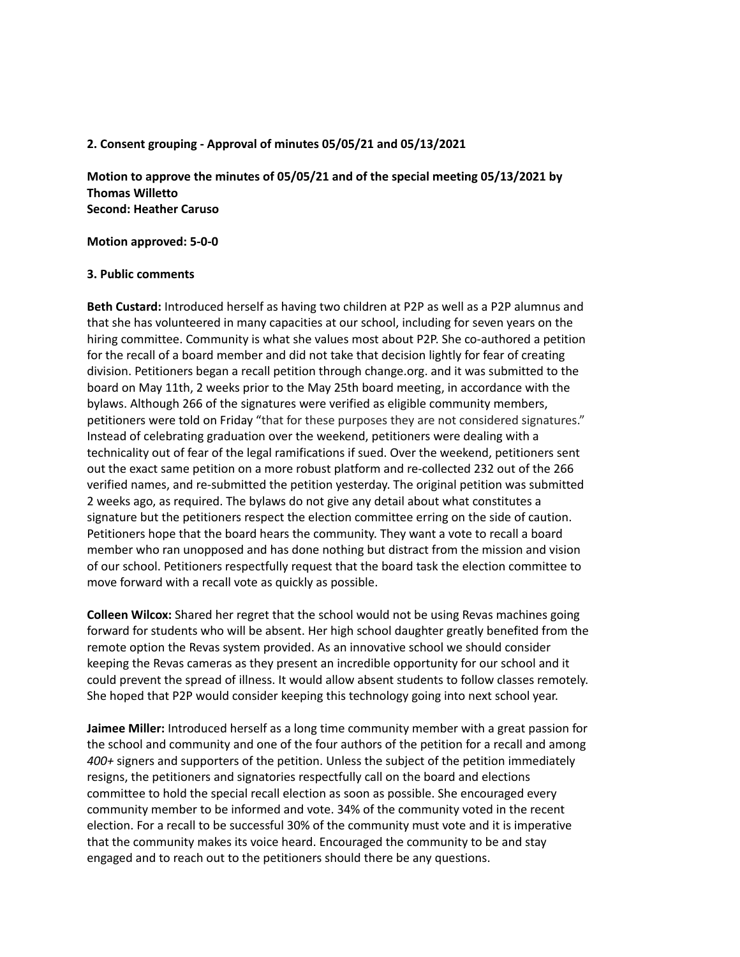#### **2. Consent grouping - Approval of minutes 05/05/21 and 05/13/2021**

**Motion to approve the minutes of 05/05/21 and of the special meeting 05/13/2021 by Thomas Willetto Second: Heather Caruso**

**Motion approved: 5-0-0**

#### **3. Public comments**

**Beth Custard:** Introduced herself as having two children at P2P as well as a P2P alumnus and that she has volunteered in many capacities at our school, including for seven years on the hiring committee. Community is what she values most about P2P. She co-authored a petition for the recall of a board member and did not take that decision lightly for fear of creating division. Petitioners began a recall petition through change.org. and it was submitted to the board on May 11th, 2 weeks prior to the May 25th board meeting, in accordance with the bylaws. Although 266 of the signatures were verified as eligible community members, petitioners were told on Friday "that for these purposes they are not considered signatures." Instead of celebrating graduation over the weekend, petitioners were dealing with a technicality out of fear of the legal ramifications if sued. Over the weekend, petitioners sent out the exact same petition on a more robust platform and re-collected 232 out of the 266 verified names, and re-submitted the petition yesterday. The original petition was submitted 2 weeks ago, as required. The bylaws do not give any detail about what constitutes a signature but the petitioners respect the election committee erring on the side of caution. Petitioners hope that the board hears the community. They want a vote to recall a board member who ran unopposed and has done nothing but distract from the mission and vision of our school. Petitioners respectfully request that the board task the election committee to move forward with a recall vote as quickly as possible.

**Colleen Wilcox:** Shared her regret that the school would not be using Revas machines going forward for students who will be absent. Her high school daughter greatly benefited from the remote option the Revas system provided. As an innovative school we should consider keeping the Revas cameras as they present an incredible opportunity for our school and it could prevent the spread of illness. It would allow absent students to follow classes remotely. She hoped that P2P would consider keeping this technology going into next school year.

**Jaimee Miller:** Introduced herself as a long time community member with a great passion for the school and community and one of the four authors of the petition for a recall and among *400+* signers and supporters of the petition. Unless the subject of the petition immediately resigns, the petitioners and signatories respectfully call on the board and elections committee to hold the special recall election as soon as possible. She encouraged every community member to be informed and vote. 34% of the community voted in the recent election. For a recall to be successful 30% of the community must vote and it is imperative that the community makes its voice heard. Encouraged the community to be and stay engaged and to reach out to the petitioners should there be any questions.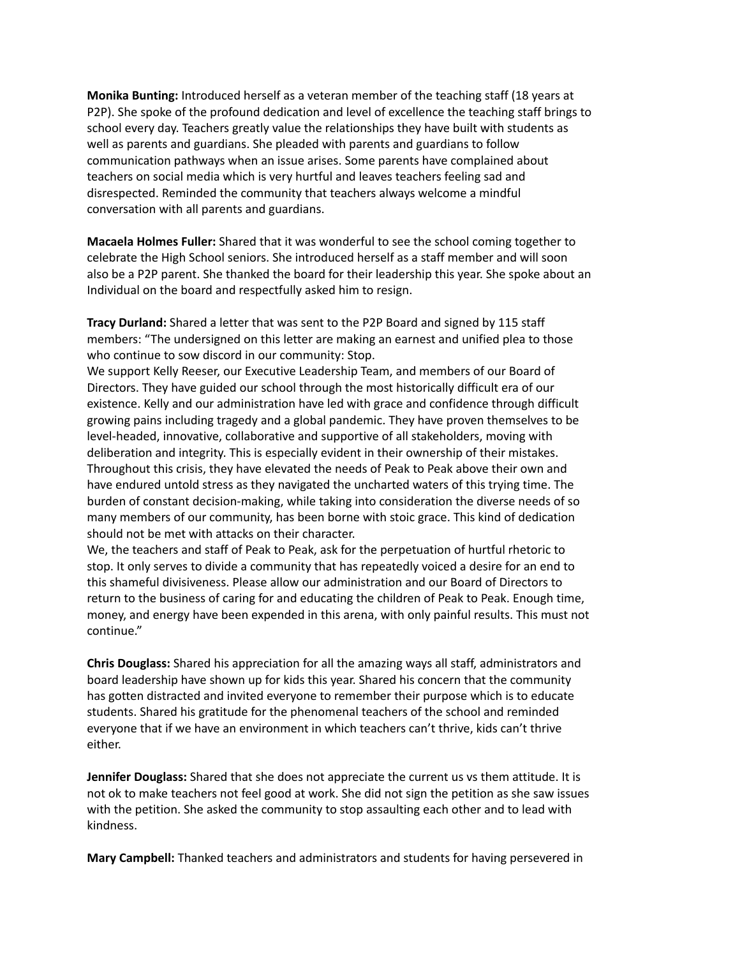**Monika Bunting:** Introduced herself as a veteran member of the teaching staff (18 years at P2P). She spoke of the profound dedication and level of excellence the teaching staff brings to school every day. Teachers greatly value the relationships they have built with students as well as parents and guardians. She pleaded with parents and guardians to follow communication pathways when an issue arises. Some parents have complained about teachers on social media which is very hurtful and leaves teachers feeling sad and disrespected. Reminded the community that teachers always welcome a mindful conversation with all parents and guardians.

**Macaela Holmes Fuller:** Shared that it was wonderful to see the school coming together to celebrate the High School seniors. She introduced herself as a staff member and will soon also be a P2P parent. She thanked the board for their leadership this year. She spoke about an Individual on the board and respectfully asked him to resign.

**Tracy Durland:** Shared a letter that was sent to the P2P Board and signed by 115 staff members: "The undersigned on this letter are making an earnest and unified plea to those who continue to sow discord in our community: Stop.

We support Kelly Reeser, our Executive Leadership Team, and members of our Board of Directors. They have guided our school through the most historically difficult era of our existence. Kelly and our administration have led with grace and confidence through difficult growing pains including tragedy and a global pandemic. They have proven themselves to be level-headed, innovative, collaborative and supportive of all stakeholders, moving with deliberation and integrity. This is especially evident in their ownership of their mistakes. Throughout this crisis, they have elevated the needs of Peak to Peak above their own and have endured untold stress as they navigated the uncharted waters of this trying time. The burden of constant decision-making, while taking into consideration the diverse needs of so many members of our community, has been borne with stoic grace. This kind of dedication should not be met with attacks on their character.

We, the teachers and staff of Peak to Peak, ask for the perpetuation of hurtful rhetoric to stop. It only serves to divide a community that has repeatedly voiced a desire for an end to this shameful divisiveness. Please allow our administration and our Board of Directors to return to the business of caring for and educating the children of Peak to Peak. Enough time, money, and energy have been expended in this arena, with only painful results. This must not continue."

**Chris Douglass:** Shared his appreciation for all the amazing ways all staff, administrators and board leadership have shown up for kids this year. Shared his concern that the community has gotten distracted and invited everyone to remember their purpose which is to educate students. Shared his gratitude for the phenomenal teachers of the school and reminded everyone that if we have an environment in which teachers can't thrive, kids can't thrive either.

**Jennifer Douglass:** Shared that she does not appreciate the current us vs them attitude. It is not ok to make teachers not feel good at work. She did not sign the petition as she saw issues with the petition. She asked the community to stop assaulting each other and to lead with kindness.

**Mary Campbell:** Thanked teachers and administrators and students for having persevered in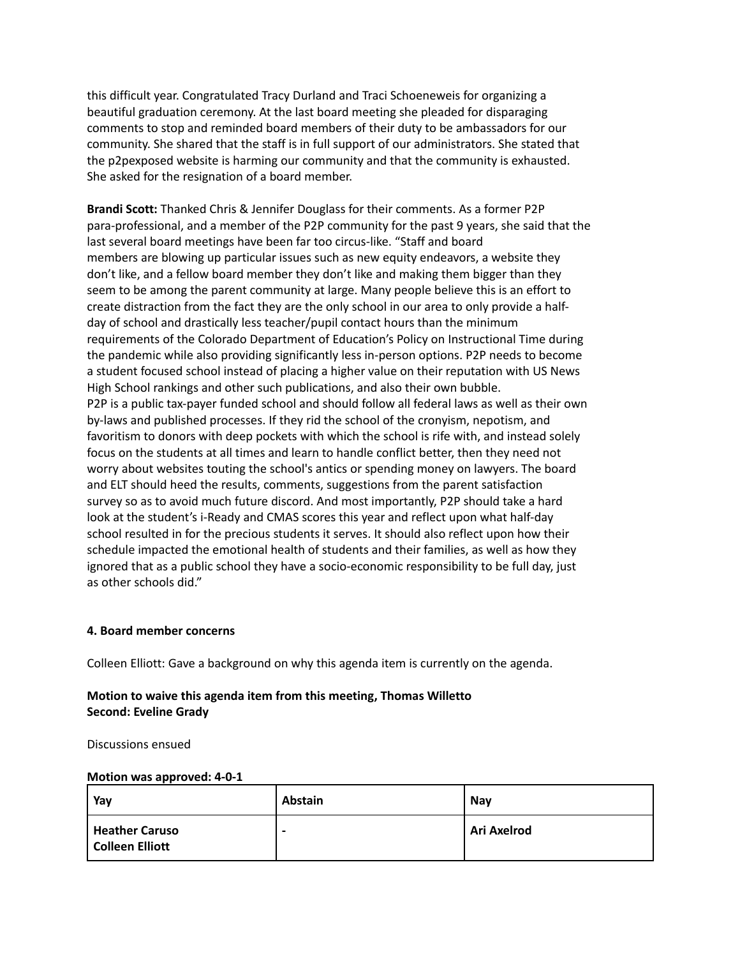this difficult year. Congratulated Tracy Durland and Traci Schoeneweis for organizing a beautiful graduation ceremony. At the last board meeting she pleaded for disparaging comments to stop and reminded board members of their duty to be ambassadors for our community. She shared that the staff is in full support of our administrators. She stated that the p2pexposed website is harming our community and that the community is exhausted. She asked for the resignation of a board member.

**Brandi Scott:** Thanked Chris & Jennifer Douglass for their comments. As a former P2P para-professional, and a member of the P2P community for the past 9 years, she said that the last several board meetings have been far too circus-like. "Staff and board members are blowing up particular issues such as new equity endeavors, a website they don't like, and a fellow board member they don't like and making them bigger than they seem to be among the parent community at large. Many people believe this is an effort to create distraction from the fact they are the only school in our area to only provide a halfday of school and drastically less teacher/pupil contact hours than the minimum requirements of the Colorado Department of Education's Policy on Instructional Time during the pandemic while also providing significantly less in-person options. P2P needs to become a student focused school instead of placing a higher value on their reputation with US News High School rankings and other such publications, and also their own bubble. P2P is a public tax-payer funded school and should follow all federal laws as well as their own by-laws and published processes. If they rid the school of the cronyism, nepotism, and favoritism to donors with deep pockets with which the school is rife with, and instead solely focus on the students at all times and learn to handle conflict better, then they need not worry about websites touting the school's antics or spending money on lawyers. The board and ELT should heed the results, comments, suggestions from the parent satisfaction survey so as to avoid much future discord. And most importantly, P2P should take a hard look at the student's i-Ready and CMAS scores this year and reflect upon what half-day school resulted in for the precious students it serves. It should also reflect upon how their schedule impacted the emotional health of students and their families, as well as how they ignored that as a public school they have a socio-economic responsibility to be full day, just as other schools did."

#### **4. Board member concerns**

Colleen Elliott: Gave a background on why this agenda item is currently on the agenda.

## **Motion to waive this agenda item from this meeting, Thomas Willetto Second: Eveline Grady**

Discussions ensued

#### **Motion was approved: 4-0-1**

| Yav                                      | <b>Abstain</b> | <b>Nav</b>  |
|------------------------------------------|----------------|-------------|
| <b>Heather Caruso</b><br>Colleen Elliott | -              | Ari Axelrod |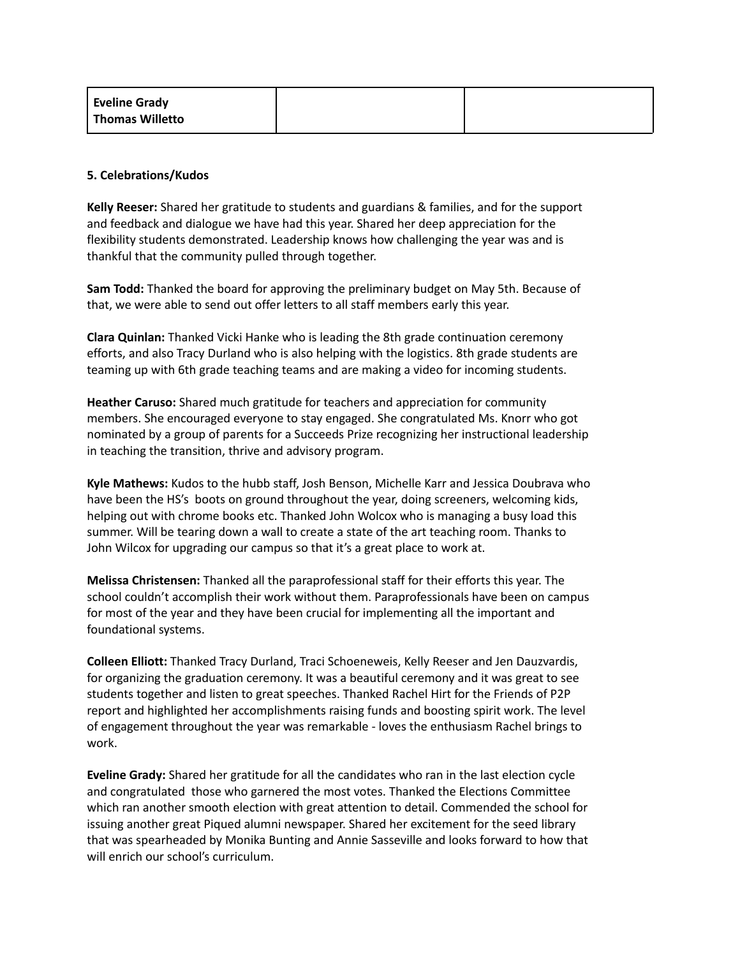| Eveline Grady   |  |
|-----------------|--|
| Thomas Willetto |  |

#### **5. Celebrations/Kudos**

**Kelly Reeser:** Shared her gratitude to students and guardians & families, and for the support and feedback and dialogue we have had this year. Shared her deep appreciation for the flexibility students demonstrated. Leadership knows how challenging the year was and is thankful that the community pulled through together.

**Sam Todd:** Thanked the board for approving the preliminary budget on May 5th. Because of that, we were able to send out offer letters to all staff members early this year.

**Clara Quinlan:** Thanked Vicki Hanke who is leading the 8th grade continuation ceremony efforts, and also Tracy Durland who is also helping with the logistics. 8th grade students are teaming up with 6th grade teaching teams and are making a video for incoming students.

**Heather Caruso:** Shared much gratitude for teachers and appreciation for community members. She encouraged everyone to stay engaged. She congratulated Ms. Knorr who got nominated by a group of parents for a Succeeds Prize recognizing her instructional leadership in teaching the transition, thrive and advisory program.

**Kyle Mathews:** Kudos to the hubb staff, Josh Benson, Michelle Karr and Jessica Doubrava who have been the HS's boots on ground throughout the year, doing screeners, welcoming kids, helping out with chrome books etc. Thanked John Wolcox who is managing a busy load this summer. Will be tearing down a wall to create a state of the art teaching room. Thanks to John Wilcox for upgrading our campus so that it's a great place to work at.

**Melissa Christensen:** Thanked all the paraprofessional staff for their efforts this year. The school couldn't accomplish their work without them. Paraprofessionals have been on campus for most of the year and they have been crucial for implementing all the important and foundational systems.

**Colleen Elliott:** Thanked Tracy Durland, Traci Schoeneweis, Kelly Reeser and Jen Dauzvardis, for organizing the graduation ceremony. It was a beautiful ceremony and it was great to see students together and listen to great speeches. Thanked Rachel Hirt for the Friends of P2P report and highlighted her accomplishments raising funds and boosting spirit work. The level of engagement throughout the year was remarkable - loves the enthusiasm Rachel brings to work.

**Eveline Grady:** Shared her gratitude for all the candidates who ran in the last election cycle and congratulated those who garnered the most votes. Thanked the Elections Committee which ran another smooth election with great attention to detail. Commended the school for issuing another great Piqued alumni newspaper. Shared her excitement for the seed library that was spearheaded by Monika Bunting and Annie Sasseville and looks forward to how that will enrich our school's curriculum.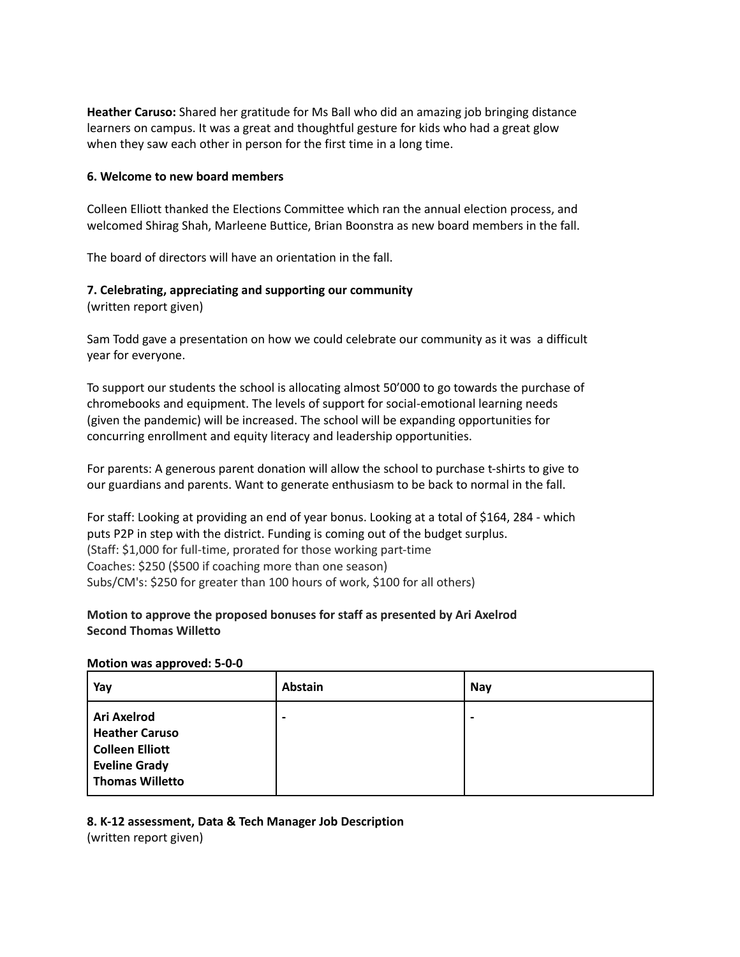**Heather Caruso:** Shared her gratitude for Ms Ball who did an amazing job bringing distance learners on campus. It was a great and thoughtful gesture for kids who had a great glow when they saw each other in person for the first time in a long time.

#### **6. Welcome to new board members**

Colleen Elliott thanked the Elections Committee which ran the annual election process, and welcomed Shirag Shah, Marleene Buttice, Brian Boonstra as new board members in the fall.

The board of directors will have an orientation in the fall.

#### **7. Celebrating, appreciating and supporting our community**

(written report given)

Sam Todd gave a presentation on how we could celebrate our community as it was a difficult year for everyone.

To support our students the school is allocating almost 50'000 to go towards the purchase of chromebooks and equipment. The levels of support for social-emotional learning needs (given the pandemic) will be increased. The school will be expanding opportunities for concurring enrollment and equity literacy and leadership opportunities.

For parents: A generous parent donation will allow the school to purchase t-shirts to give to our guardians and parents. Want to generate enthusiasm to be back to normal in the fall.

For staff: Looking at providing an end of year bonus. Looking at a total of \$164, 284 - which puts P2P in step with the district. Funding is coming out of the budget surplus. (Staff: \$1,000 for full-time, prorated for those working part-time Coaches: \$250 (\$500 if coaching more than one season) Subs/CM's: \$250 for greater than 100 hours of work, \$100 for all others)

## **Motion to approve the proposed bonuses for staff as presented by Ari Axelrod Second Thomas Willetto**

#### **Motion was approved: 5-0-0**

| Yay                                                                                                              | <b>Abstain</b>           | Nay            |
|------------------------------------------------------------------------------------------------------------------|--------------------------|----------------|
| Ari Axelrod<br><b>Heather Caruso</b><br><b>Colleen Elliott</b><br><b>Eveline Grady</b><br><b>Thomas Willetto</b> | $\overline{\phantom{0}}$ | $\blacksquare$ |

# **8. K-12 assessment, Data & Tech Manager Job Description**

(written report given)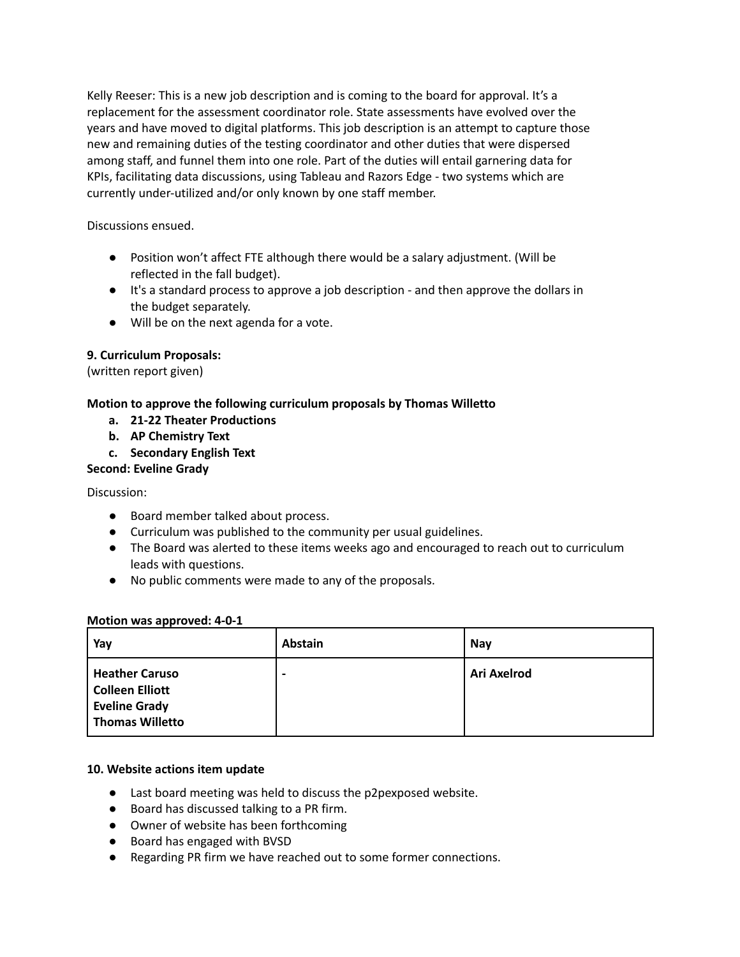Kelly Reeser: This is a new job description and is coming to the board for approval. It's a replacement for the assessment coordinator role. State assessments have evolved over the years and have moved to digital platforms. This job description is an attempt to capture those new and remaining duties of the testing coordinator and other duties that were dispersed among staff, and funnel them into one role. Part of the duties will entail garnering data for KPIs, facilitating data discussions, using Tableau and Razors Edge - two systems which are currently under-utilized and/or only known by one staff member.

Discussions ensued.

- Position won't affect FTE although there would be a salary adjustment. (Will be reflected in the fall budget).
- It's a standard process to approve a job description and then approve the dollars in the budget separately.
- Will be on the next agenda for a vote.

# **9. Curriculum Proposals:**

(written report given)

## **Motion to approve the following curriculum proposals by Thomas Willetto**

- **a. 21-22 Theater Productions**
- **b. AP Chemistry Text**
- **c. Secondary English Text**

## **Second: Eveline Grady**

Discussion:

- Board member talked about process.
- Curriculum was published to the community per usual guidelines.
- The Board was alerted to these items weeks ago and encouraged to reach out to curriculum leads with questions.
- No public comments were made to any of the proposals.

### **Motion was approved: 4-0-1**

| Yay                                                                                        | Abstain | Nay         |
|--------------------------------------------------------------------------------------------|---------|-------------|
| <b>Heather Caruso</b><br>Colleen Elliott<br><b>Eveline Grady</b><br><b>Thomas Willetto</b> | -       | Ari Axelrod |

### **10. Website actions item update**

- Last board meeting was held to discuss the p2pexposed website.
- Board has discussed talking to a PR firm.
- Owner of website has been forthcoming
- Board has engaged with BVSD
- Regarding PR firm we have reached out to some former connections.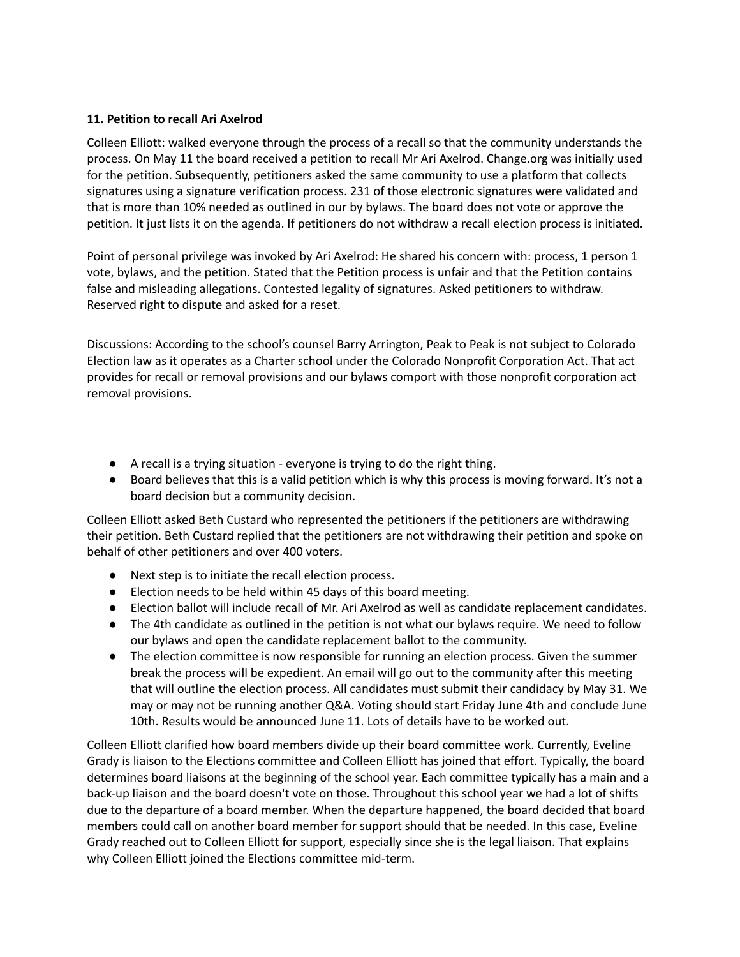### **11. Petition to recall Ari Axelrod**

Colleen Elliott: walked everyone through the process of a recall so that the community understands the process. On May 11 the board received a petition to recall Mr Ari Axelrod. Change.org was initially used for the petition. Subsequently, petitioners asked the same community to use a platform that collects signatures using a signature verification process. 231 of those electronic signatures were validated and that is more than 10% needed as outlined in our by bylaws. The board does not vote or approve the petition. It just lists it on the agenda. If petitioners do not withdraw a recall election process is initiated.

Point of personal privilege was invoked by Ari Axelrod: He shared his concern with: process, 1 person 1 vote, bylaws, and the petition. Stated that the Petition process is unfair and that the Petition contains false and misleading allegations. Contested legality of signatures. Asked petitioners to withdraw. Reserved right to dispute and asked for a reset.

Discussions: According to the school's counsel Barry Arrington, Peak to Peak is not subject to Colorado Election law as it operates as a Charter school under the Colorado Nonprofit Corporation Act. That act provides for recall or removal provisions and our bylaws comport with those nonprofit corporation act removal provisions.

- A recall is a trying situation everyone is trying to do the right thing.
- Board believes that this is a valid petition which is why this process is moving forward. It's not a board decision but a community decision.

Colleen Elliott asked Beth Custard who represented the petitioners if the petitioners are withdrawing their petition. Beth Custard replied that the petitioners are not withdrawing their petition and spoke on behalf of other petitioners and over 400 voters.

- Next step is to initiate the recall election process.
- Election needs to be held within 45 days of this board meeting.
- Election ballot will include recall of Mr. Ari Axelrod as well as candidate replacement candidates.
- The 4th candidate as outlined in the petition is not what our bylaws require. We need to follow our bylaws and open the candidate replacement ballot to the community.
- The election committee is now responsible for running an election process. Given the summer break the process will be expedient. An email will go out to the community after this meeting that will outline the election process. All candidates must submit their candidacy by May 31. We may or may not be running another Q&A. Voting should start Friday June 4th and conclude June 10th. Results would be announced June 11. Lots of details have to be worked out.

Colleen Elliott clarified how board members divide up their board committee work. Currently, Eveline Grady is liaison to the Elections committee and Colleen Elliott has joined that effort. Typically, the board determines board liaisons at the beginning of the school year. Each committee typically has a main and a back-up liaison and the board doesn't vote on those. Throughout this school year we had a lot of shifts due to the departure of a board member. When the departure happened, the board decided that board members could call on another board member for support should that be needed. In this case, Eveline Grady reached out to Colleen Elliott for support, especially since she is the legal liaison. That explains why Colleen Elliott joined the Elections committee mid-term.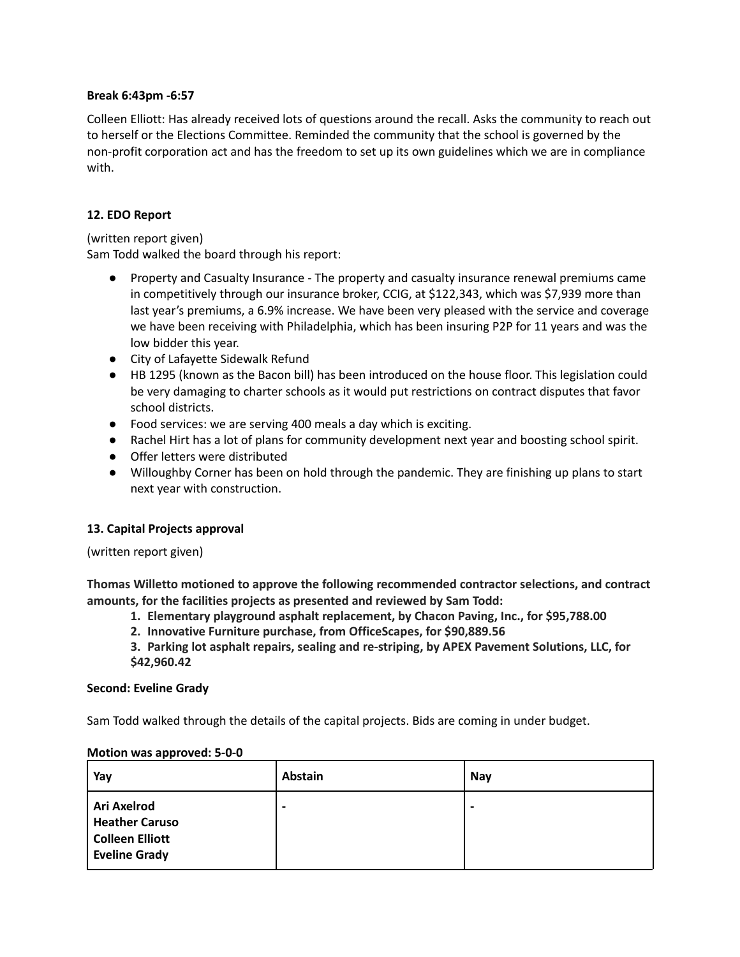#### **Break 6:43pm -6:57**

Colleen Elliott: Has already received lots of questions around the recall. Asks the community to reach out to herself or the Elections Committee. Reminded the community that the school is governed by the non-profit corporation act and has the freedom to set up its own guidelines which we are in compliance with.

### **12. EDO Report**

(written report given) Sam Todd walked the board through his report:

- Property and Casualty Insurance The property and casualty insurance renewal premiums came in competitively through our insurance broker, CCIG, at \$122,343, which was \$7,939 more than last year's premiums, a 6.9% increase. We have been very pleased with the service and coverage we have been receiving with Philadelphia, which has been insuring P2P for 11 years and was the low bidder this year.
- City of Lafayette Sidewalk Refund
- HB 1295 (known as the Bacon bill) has been introduced on the house floor. This legislation could be very damaging to charter schools as it would put restrictions on contract disputes that favor school districts.
- Food services: we are serving 400 meals a day which is exciting.
- Rachel Hirt has a lot of plans for community development next year and boosting school spirit.
- Offer letters were distributed
- Willoughby Corner has been on hold through the pandemic. They are finishing up plans to start next year with construction.

### **13. Capital Projects approval**

(written report given)

**Thomas Willetto motioned to approve the following recommended contractor selections, and contract amounts, for the facilities projects as presented and reviewed by Sam Todd:**

- **1. Elementary playground asphalt replacement, by Chacon Paving, Inc., for \$95,788.00**
- **2. Innovative Furniture purchase, from OfficeScapes, for \$90,889.56**
- **3. Parking lot asphalt repairs, sealing and re-striping, by APEX Pavement Solutions, LLC, for \$42,960.42**

#### **Second: Eveline Grady**

Sam Todd walked through the details of the capital projects. Bids are coming in under budget.

| Yay                                                                                    | Abstain         | <b>Nay</b>               |
|----------------------------------------------------------------------------------------|-----------------|--------------------------|
| <b>Ari Axelrod</b><br><b>Heather Caruso</b><br>Colleen Elliott<br><b>Eveline Grady</b> | $\qquad \qquad$ | $\overline{\phantom{0}}$ |

#### **Motion was approved: 5-0-0**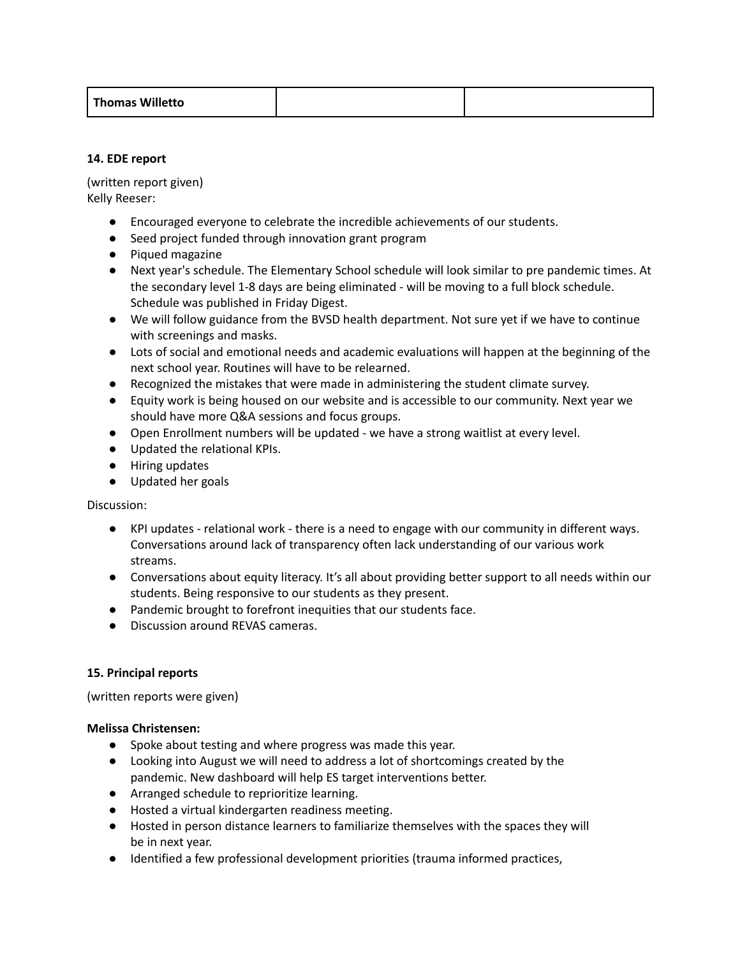| <b>Thomas Willetto</b> |  |
|------------------------|--|
|                        |  |

### **14. EDE report**

(written report given) Kelly Reeser:

- Encouraged everyone to celebrate the incredible achievements of our students.
- Seed project funded through innovation grant program
- Piqued magazine
- Next year's schedule. The Elementary School schedule will look similar to pre pandemic times. At the secondary level 1-8 days are being eliminated - will be moving to a full block schedule. Schedule was published in Friday Digest.
- We will follow guidance from the BVSD health department. Not sure yet if we have to continue with screenings and masks.
- Lots of social and emotional needs and academic evaluations will happen at the beginning of the next school year. Routines will have to be relearned.
- Recognized the mistakes that were made in administering the student climate survey.
- Equity work is being housed on our website and is accessible to our community. Next year we should have more Q&A sessions and focus groups.
- Open Enrollment numbers will be updated we have a strong waitlist at every level.
- Updated the relational KPIs.
- Hiring updates
- Updated her goals

Discussion:

- KPI updates relational work there is a need to engage with our community in different ways. Conversations around lack of transparency often lack understanding of our various work streams.
- Conversations about equity literacy. It's all about providing better support to all needs within our students. Being responsive to our students as they present.
- Pandemic brought to forefront inequities that our students face.
- Discussion around REVAS cameras.

### **15. Principal reports**

(written reports were given)

### **Melissa Christensen:**

- Spoke about testing and where progress was made this year.
- Looking into August we will need to address a lot of shortcomings created by the pandemic. New dashboard will help ES target interventions better.
- Arranged schedule to reprioritize learning.
- Hosted a virtual kindergarten readiness meeting.
- Hosted in person distance learners to familiarize themselves with the spaces they will be in next year.
- Identified a few professional development priorities (trauma informed practices,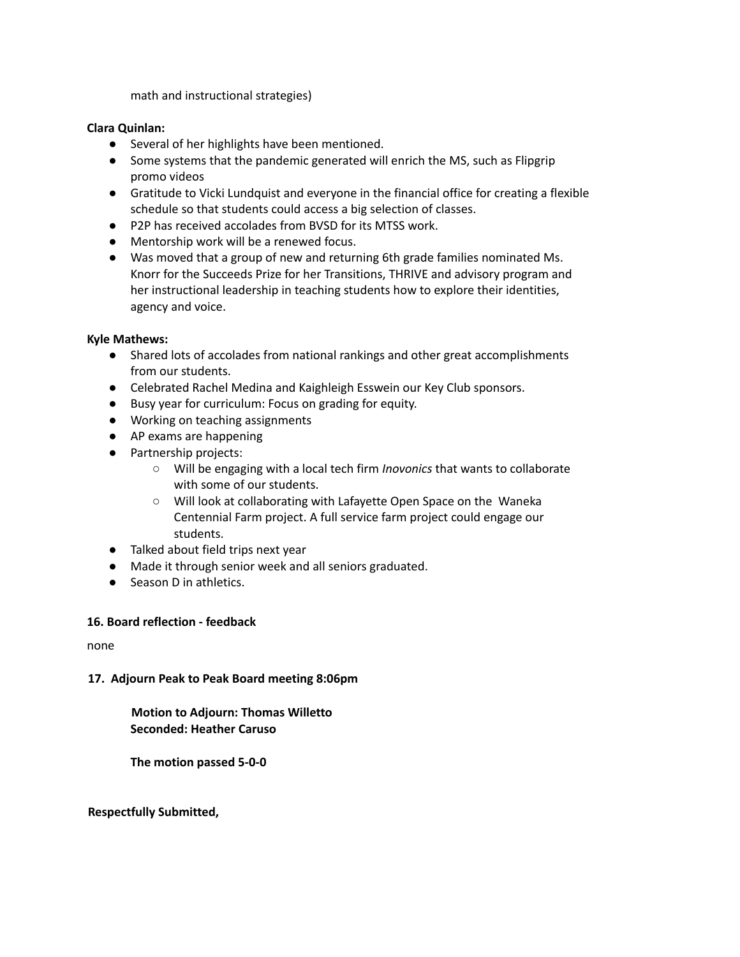math and instructional strategies)

### **Clara Quinlan:**

- Several of her highlights have been mentioned.
- Some systems that the pandemic generated will enrich the MS, such as Flipgrip promo videos
- Gratitude to Vicki Lundquist and everyone in the financial office for creating a flexible schedule so that students could access a big selection of classes.
- P2P has received accolades from BVSD for its MTSS work.
- Mentorship work will be a renewed focus.
- Was moved that a group of new and returning 6th grade families nominated Ms. Knorr for the Succeeds Prize for her Transitions, THRIVE and advisory program and her instructional leadership in teaching students how to explore their identities, agency and voice.

### **Kyle Mathews:**

- Shared lots of accolades from national rankings and other great accomplishments from our students.
- Celebrated Rachel Medina and Kaighleigh Esswein our Key Club sponsors.
- Busy year for curriculum: Focus on grading for equity.
- Working on teaching assignments
- AP exams are happening
- Partnership projects:
	- Will be engaging with a local tech firm *Inovonics* that wants to collaborate with some of our students.
	- Will look at collaborating with Lafayette Open Space on the Waneka Centennial Farm project. A full service farm project could engage our students.
- Talked about field trips next year
- Made it through senior week and all seniors graduated.
- Season D in athletics.

### **16. Board reflection - feedback**

none

### **17. Adjourn Peak to Peak Board meeting 8:06pm**

### **Motion to Adjourn: Thomas Willetto Seconded: Heather Caruso**

**The motion passed 5-0-0**

### **Respectfully Submitted,**